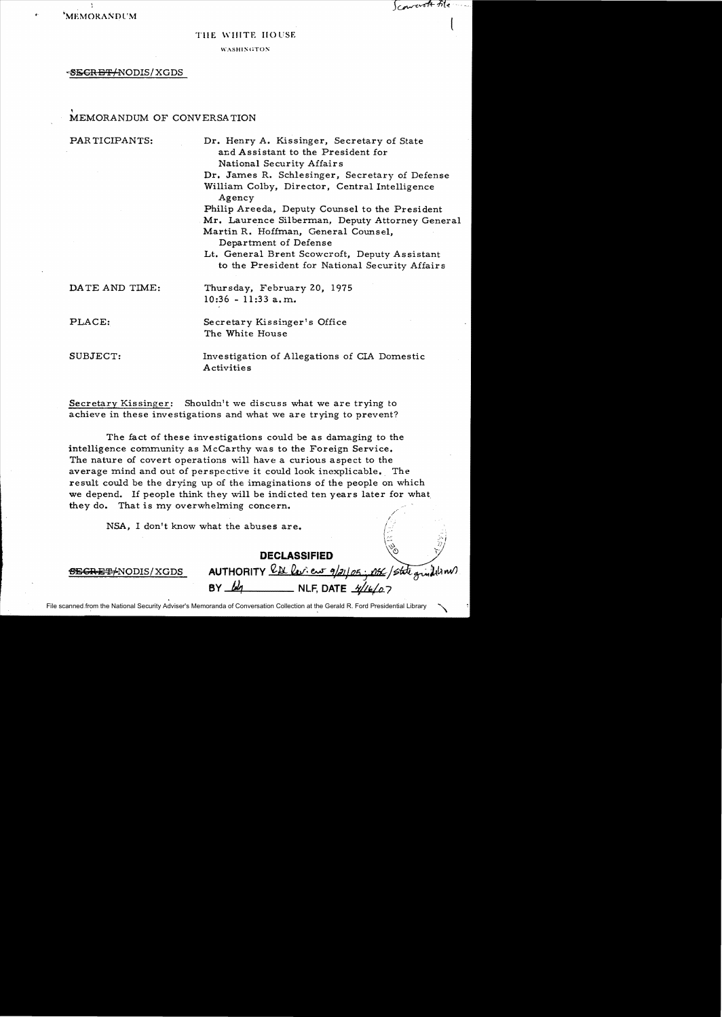'MEMORANDl'M

Convert tile

### TIlE WHITE HOUSE

**WASHINGTON** 

#### ~REg::/NODIS/XGDS

# , MEMORANDUM OF CONVERSATION

PAR TICIPANTS: Dr. Henry A. Kissinger, Secretary of State and Assistant to the President for National Security Affairs Dr. James R. Schlesinger, Secretary of Defense William Colby, Director, Central Intelligence Agency Philip Areeda, Deputy Counsel to the President Mr. Laurence Silberman, Deputy Attorney General Martin R. Hoffman, General Counsel, Department of Defense Lt. General Brent Scowcroft, Deputy Assistant to the President for National Security Affairs DATE AND TIME: Thursday, February 20, 1975 10:36 -11:33 a.m. PLACE: Secretary Kissinger's Office The White House SUBJECT: Investigation of Allegations of CIA Domestic

Secretary Kissinger: Shouldn't we discuss what we are trying to achieve in these investigations and what we are trying to prevent?

Activities

The fact of these investigations could be as damaging to the intelligence community as McCarthy was to the Foreign Service. The nature of covert operations will have a curious aspect to the average mind and out of perspective it could look inexplicable. The result could be the drying up of the imaginations of the people on which we depend. If people think they will be indicted ten years later for what. they do. That is my overwhelming concern.

NSA, I don't know what the abuses are.

**DECLASSIFIED** <u>SECRET/NODIS/XGDS</u> AUTHORITY <u>LA Leview 9/21/25;</u><br>BY <u>leg methods</u> NLF DATE 2010 DEC/state grindeline **BEARE ALLER**, **DATE**  $\frac{4}{46}$ 

1.. ·•

 $\begin{pmatrix} 1 & & & \sqrt{2} \\ 1 & & & \sqrt{2} \\ 0 & & & \sqrt{2} \end{pmatrix}$ 

File scanned from the National Security Adviser's Memoranda of Conversation Collection at the Gerald R. Ford Presidential Library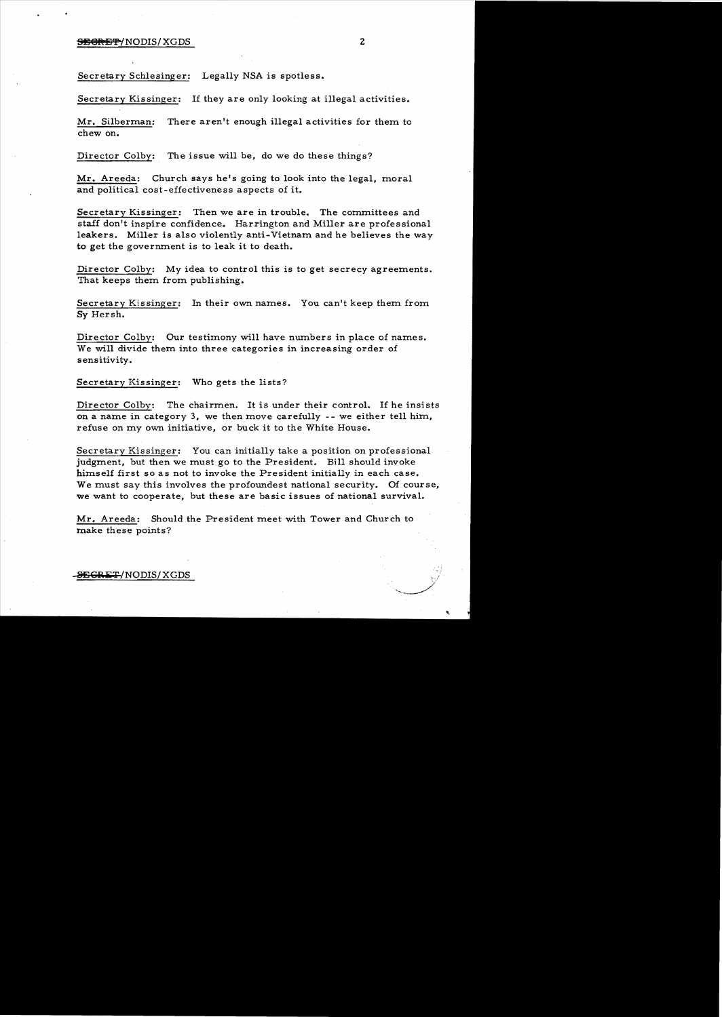# SEGRETY NODIS/XGDS 2

Secretary Schlesinger: Legally NSA is spotless.

Secretary Kissinger: If they are only looking at illegal activities.

Mr. Silberman: There aren't enough illegal activities for them to chew on.

Director Colby: The issue will be, do we do these things?

Mr. Areeda: Church says he's going to look into the legal, moral and political cost-effectiveness aspects of it.

Secretary Kissinger: Then we are in trouble. The committees and staff don't inspire confidence. Harrington and Miller are professional leakers. Miller is also violently anti-Vietnam and he believes the way to get the government is to leak it to death.

Director Colby: My idea to control this is to get secrecy agreements. That keeps them from publishing.

Secretary Kissinger: In their own names. You can't keep them from Sy Hersh.

Director Colby: Our testimony will have numbers in place of names. We will divide them into three categories in increasing order of sensitivity.

Secretary Kissinger: Who gets the lists?

Director Colby: The chairmen. It is under their control. If he insists on a name in category 3, we then move carefully  $-$ - we either tell him, refuse on my own initiative, or buck it to the White House.

Secretary Kissinger: You can initially take a position on professional judgment, but then we must go to the President. Bill should invoke himself first so as not to invoke the President initially in each case. We must say this involves the profoundest national security. Of course, we want to cooperate, but these are basic issues of national survival.

Mr. Areeda: Should the President meet with Tower and Church to make these points?

SEGRET/NODIS/XGDS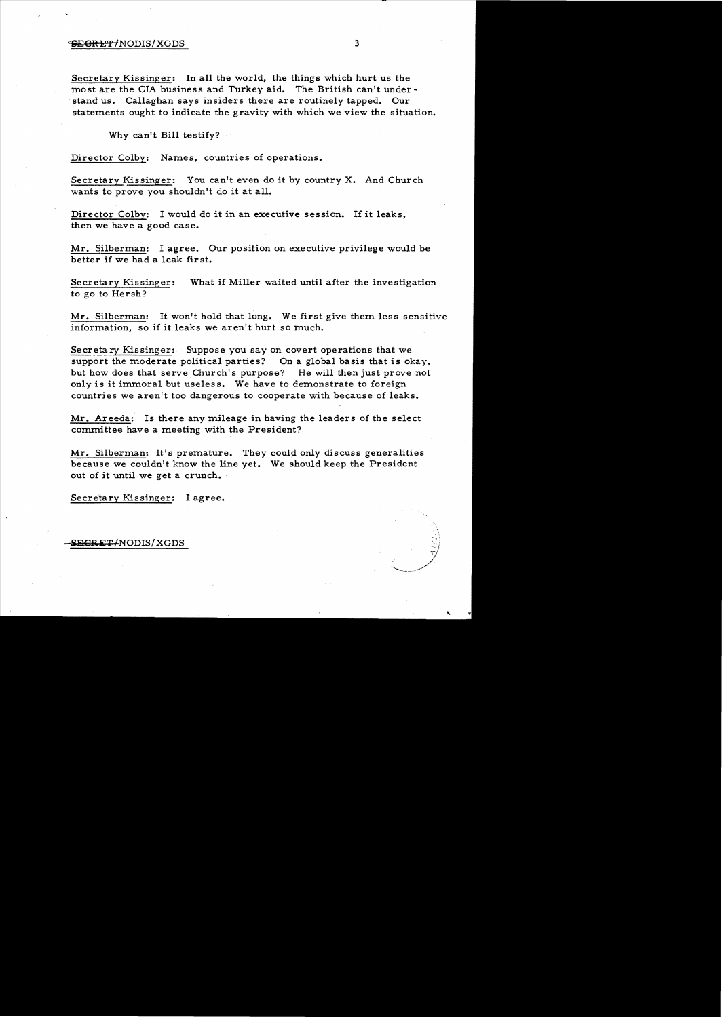## $\frac{1}{100}$   $\frac{1}{100}$   $\frac{1}{100}$   $\frac{1}{100}$   $\frac{1}{100}$   $\frac{1}{100}$   $\frac{1}{100}$   $\frac{1}{100}$   $\frac{1}{100}$   $\frac{1}{100}$   $\frac{1}{100}$   $\frac{1}{100}$   $\frac{1}{100}$   $\frac{1}{100}$   $\frac{1}{100}$   $\frac{1}{100}$   $\frac{1}{100}$   $\frac{1}{100}$   $\frac{1$

Secretary Kissinger: In all the world, the things which hurt us the most are the CIA business and Turkey aid. The British can't understand us. Callaghan says insiders there are routinely tapped. Our statements ought to indicate the gravity with which we view the situation.

Why can't Bill testify?

Director Colby: Names, countries of operations.

Secretary Kissinger: You can't even do it by country X. And Church wants to prove you shouldn't do it at all.

Director Colby: I would do it in an executive session. If it leaks, then we have a good case.

Mr. Silberman: I agree. Our position on executive privilege would be better if we had a leak first.

Secretary Kissinger: What if Miller waited until after the investigation to go to Hersh?

Mr. Silberman: It won't hold that long. We first give them less sensitive information, so if it leaks we aren't hurt so much.

Secretary Kissinger: Suppose you say on covert operations that we support the moderate political parties? On a global basis that is okay, but how does that serve Church's purpose? He will then just prove not only is it immoral but useless. We have to demonstrate to foreign countries we aren't too dangerous to cooperate with because of leaks.

Mr. Areeda: Is there any mileage in having the leaders of the select committee have a meeting with the President?

Mr. Silberman: It's premature. They could only discuss generalities because we couldn't know the line yet. We should keep the President out of it until we get a crunch.

Secretary Kissinger: I agree.

**SEGRET/NODIS/XGDS**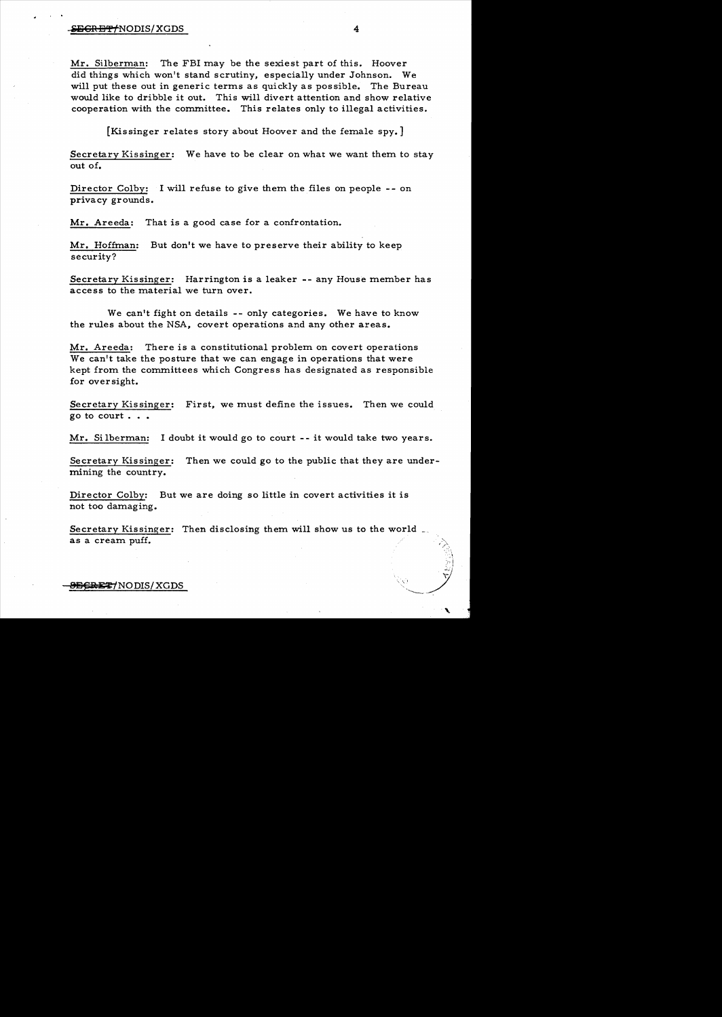#### instruction of the Second Contract of the Second Contract of the Second Contract of the Second Contract of the S

Mr. Silberman: The FBI may be the sexiest part of this. Hoover did things which won't stand scrutiny, especially under Johnson. We will put these out in generic terms as quickly as possible. The Bureau would like to dribble it out. This will divert attention and show relative cooperation with the committee. This relates only to illegal activities.

[Kissinger relates story about Hoover and the female spy.]

Secretary Kissinger: We have to be clear on what we want them to stay out of.

Director Colby: I will refuse to give them the files on people - - on privacy grounds.

Mr. Areeda: That is a good case for a confrontation.

Mr. Hoffman: But don't we have to preserve their ability to keep security?

Secretary Kissinger: Harrington is a leaker -- any House member has access to the material we turn over.

We can't fight on details -- only categories. We have to know the rules about the NSA, covert operations and any other areas.

Mr. Areeda: There is a constitutional problem on covert operations We can't take the posture that we can engage in operations that were kept from the committees which Congress has designated as responsible for oversight.

Secretary Kissinger: First, we must define the issues. Then we could go to court . . .

Mr. Si lberman: I doubt it would go to court -- it would take two years.

Secretary Kissinger: Then we could go to the public that they are undermining the country.

Director Colby: But we are doing so little in covert activities it is not too damaging.

Secretary Kissinger: Then disclosing them will show us to the world \_ as a cream puff.

E<del>REZ</del>7NODIS/XGDS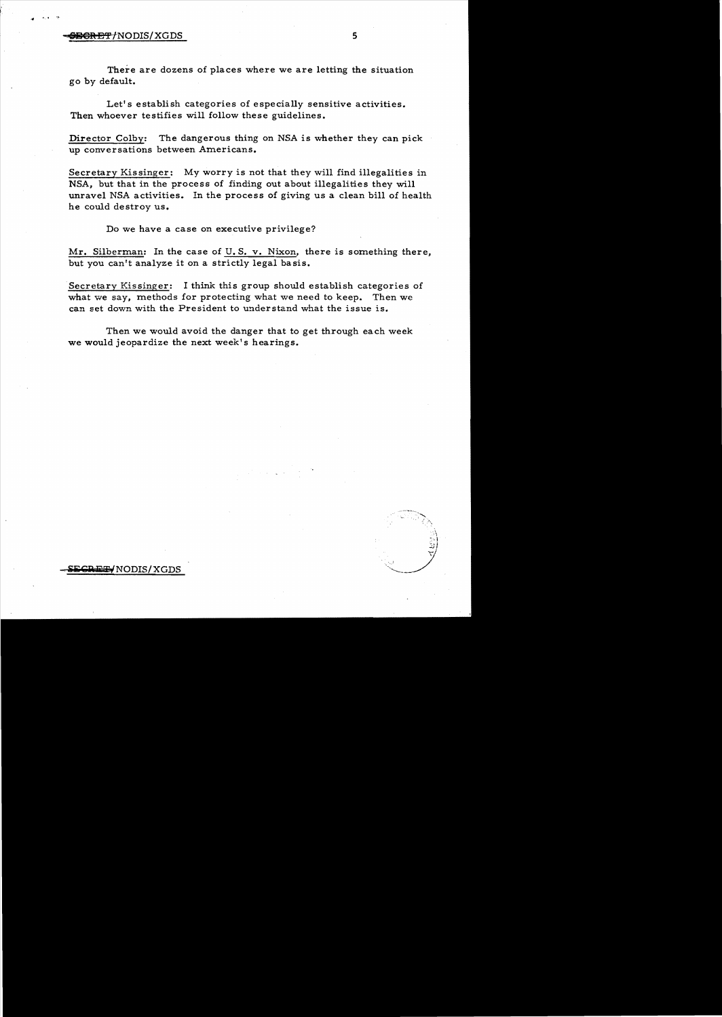## **SIGRET:** INODIS/XGDS 5

There are dozens of places where we are letting the situation go by default.

Let's establish categories of especially sensitive activities. Then whoever testifies will follow these guidelines.

Director Colby: The dangerous thing on NSA is whether they can pick up conversations between Americans.

Secretary Kissinger: My worry is not that they will find illegalities in NSA, but that in the process of finding out about illegalities they will unravel NSA activities. In the process of giving us a clean bill of health he could destroy us.

Do we have a case on executive privilege?

Mr. Silberman: In the case of U. S. v. Nixon, there is something there, but you can't analyze it on a strictly legal basis.

.Secretary Kissinger: I think this group should establish categories of what we say, methods for protecting what we need to keep. Then we can set down with the President to understand what the issue is.

Then we would avoid the danger that to get through each week we would jeopardize the next week's hearings.

-S]i;Cjg liZEF/NODIS!XGDS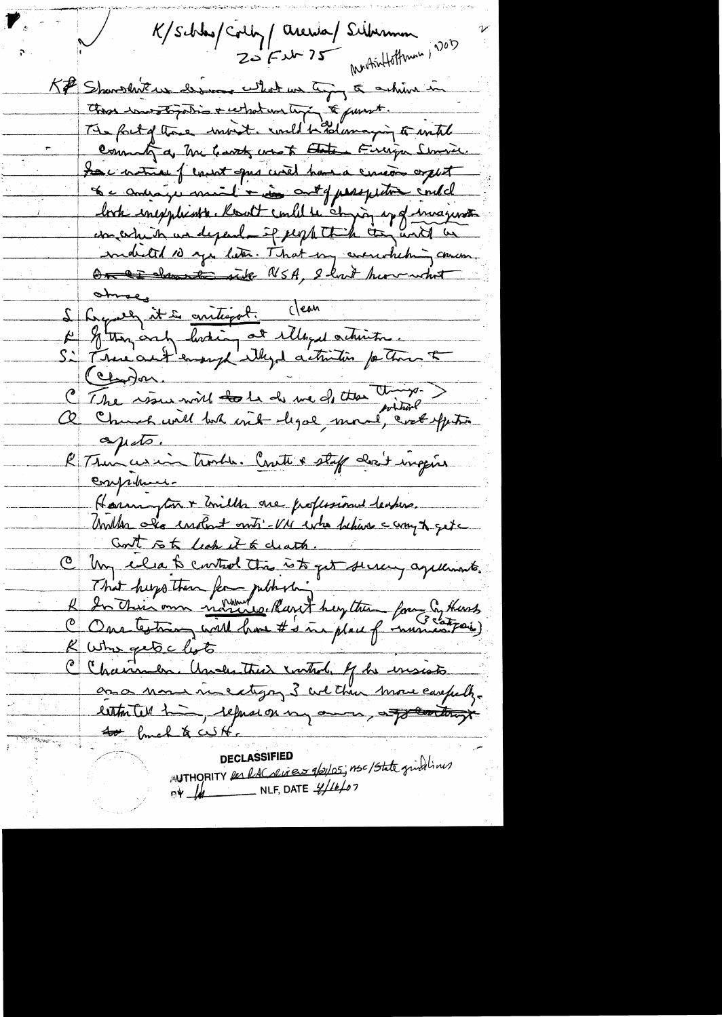K/Schlas/Colly/Arenda/Silvinna 20 Eur 25 Monthettemen, 2015 K# Sharshit us desme what we try to achieve in This investigation + what we time to pursuit. The fout of those warent. with had amazing to with Command a Me leavet was to Etate Finiga Smore. Le notre fement que circe have encor aput Le compagnement + in cont f perspective contrel book inexplients. Root could is comping up of invariant mobilité 10 mps liter. That my concretition, On a show to wide NSA, I had how what Since antigot : Clean<br>Le Glean en floring at illegal activités. C The way will tole de me of the time ?? >  $\Delta\mu d\sigma$ . R Thus us in trouble. Crute & staff don't ingene Competent-Horrington + Unille one professioned leaders. Unillen als enour onts - VM eitre behave compt get Cont is to leak it to clearts. C Un élab control tra à to get surcey agalements. That hugo then for jubbition of the form of theses R Who get clots C Chairmen. Ausentiur control. Je insists

AUTHORITY Res RAColises 1/2/05; nsc/State grindlines DECLASSIFIED  $PV$  /  $\mu$  NLF, DATE  $\frac{1}{2}$ //*k/07*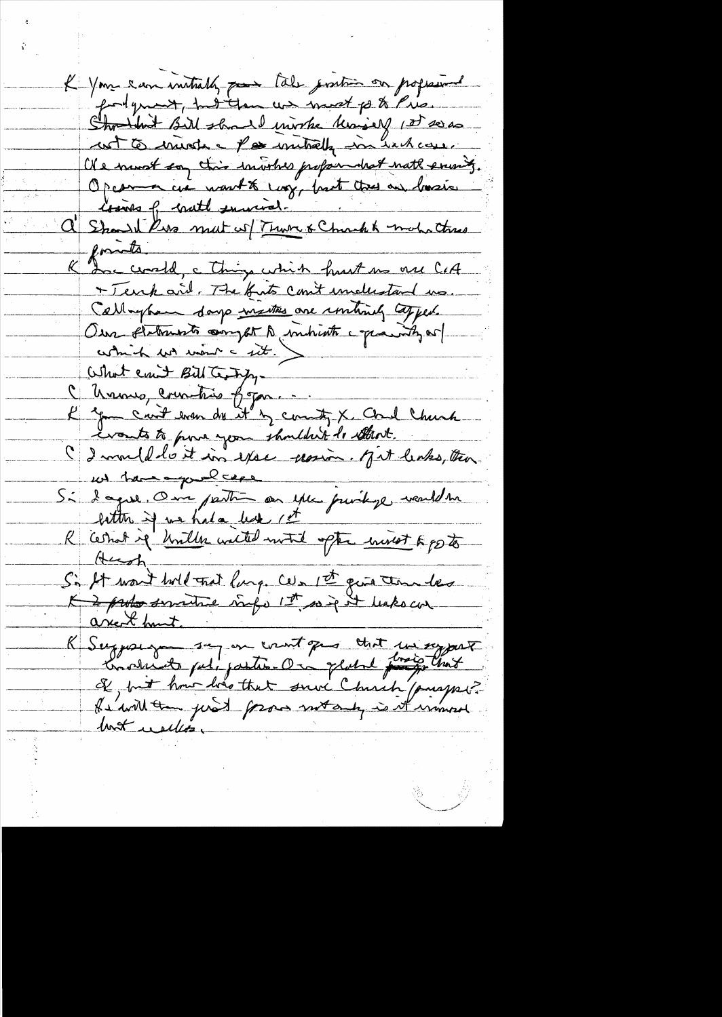K Your can initially pose tale position on professional fortgreat, had then we must post Pris. Shouldest Bill should invoke knowly 1st see as wit to mind a pos mitrely in hack can. Of a newst soy this involves propondent noth evening. Opesma cui nouth long, but tres on basis C' Should kiss mat w Turn & Chack & mohatres + Tenk and. The first cont includant us. Callaphan days matters are instruity topped. Our fletruste compt à indicte après de What eart Bill Terry,<br>Channes, countries from ... write X Cord Chunk...<br>L'épu court dram du et les countres X Cord Chunk...<br>C'es mould de it in exact provin. M'it leaks, than w have profiles Si dague. One partie au que juvilige veuldre litter if we had due 1et R'arrot if briller walted with ofte with 6 fb to Si It won't hold trat lung. Cels 1st quin tom les K Suggessy say on count que that in sy part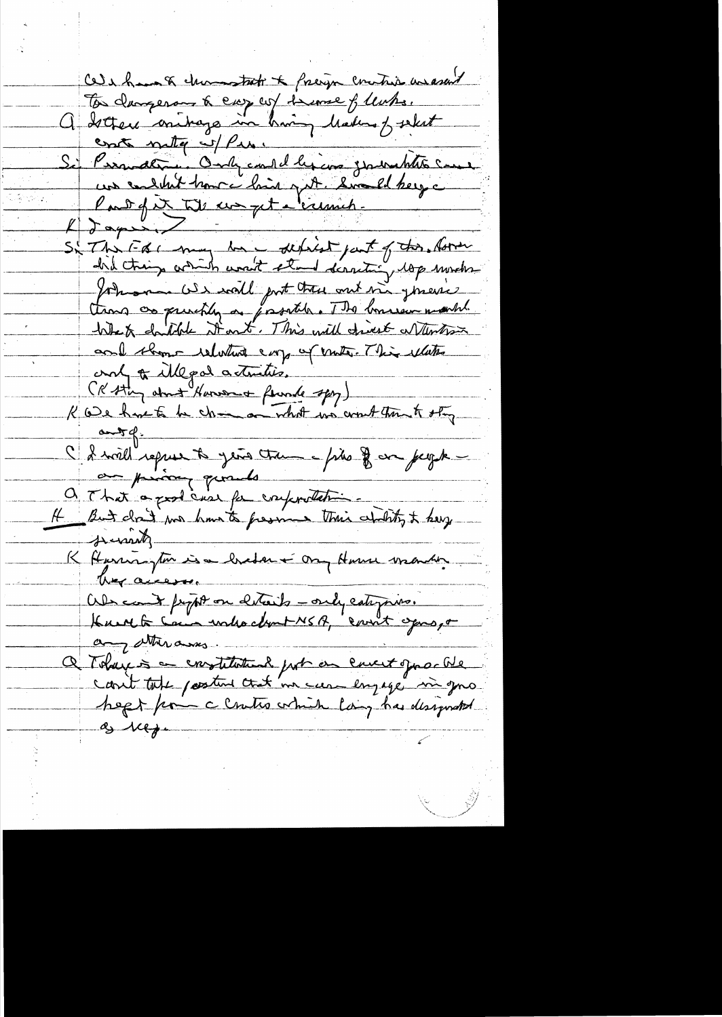Cele huis à channotret à freign contrie avancer To decree on the easy we seemed from the decree of the method of the search of the country of the search of the country of the country of the country of the country of the form of the country of the form of the country of Johnson OS wall put the ont in generic tions as princtly as properties. The bonneur march! and thome relations every of visite. This ellites Only to illegal actualite.<br>Re ce have to be des an orbit un court trout offer and of illegal actualis. au prison quands a That's good case for confortation.<br>It But don't son hand from their chility to berg K Harrington is a bredan + ong Harrie verander they access. Abscand propt on certains -only categories.<br>Kunst la Cam sortie chent NSA, count opros, o any attendances. a Tobaix = constitution port on envert quarte  $\int_{\mathcal{S}}$